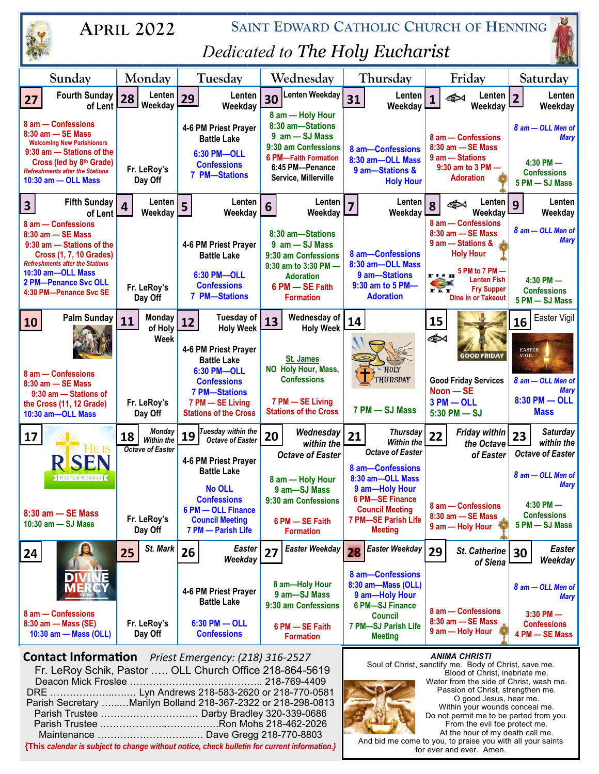| <b>SAINT EDWARD CATHOLIC CHURCH OF HENNING</b><br><b>APRIL 2022</b><br>Dedicated to The Holy Eucharist                                                                                                                                       |                                            |                                                                                                                                                             |                                                                                                                                                         |                                                                                                                                                                                |                                                                                                                                                                                           |                                                                                                                      |  |
|----------------------------------------------------------------------------------------------------------------------------------------------------------------------------------------------------------------------------------------------|--------------------------------------------|-------------------------------------------------------------------------------------------------------------------------------------------------------------|---------------------------------------------------------------------------------------------------------------------------------------------------------|--------------------------------------------------------------------------------------------------------------------------------------------------------------------------------|-------------------------------------------------------------------------------------------------------------------------------------------------------------------------------------------|----------------------------------------------------------------------------------------------------------------------|--|
| Sunday                                                                                                                                                                                                                                       | Monday                                     | Tuesday                                                                                                                                                     | Wednesday                                                                                                                                               | Thursday                                                                                                                                                                       | Friday                                                                                                                                                                                    | Saturday                                                                                                             |  |
| <b>Fourth Sunday</b><br>27<br>of Lent                                                                                                                                                                                                        | Lenten<br>28<br>Weekday                    | Lenten<br>29<br>Weekday                                                                                                                                     | Lenten Weekday<br>30                                                                                                                                    | Lenten<br>31<br>Weekday                                                                                                                                                        | Lenten<br>$\mathbf{1}$<br>Weekday                                                                                                                                                         | Lenten<br>$\overline{2}$<br>Weekday                                                                                  |  |
| 8 am - Confessions<br>$8:30$ am $-$ SE Mass<br><b>Welcoming New Parishioners</b><br>9:30 am - Stations of the<br>Cross (led by 8th Grade)<br><b>Refreshments after the Stations</b><br>$10:30$ am $-$ OLL Mass                               | Fr. LeRoy's<br>Day Off                     | 4-6 PM Priest Prayer<br><b>Battle Lake</b><br>6:30 PM-OLL<br><b>Confessions</b><br><b>7 PM-Stations</b>                                                     | 8 am - Holy Hour<br>8:30 am-Stations<br>9 am - SJ Mass<br>9:30 am Confessions<br><b>6 PM-Faith Formation</b><br>6:45 PM-Penance<br>Service, Millerville | 8 am-Confessions<br>8:30 am-OLL Mass<br>9 am-Stations &<br><b>Holy Hour</b>                                                                                                    | 8 am - Confessions<br>$8:30$ am $-$ SE Mass<br>9 am - Stations<br>9:30 am to 3 PM -<br><b>Adoration</b>                                                                                   | 8 am - OLL Men of<br><b>Mary</b><br>$4:30$ PM $-$<br><b>Confessions</b><br>5 PM - SJ Mass                            |  |
| <b>Fifth Sunday</b><br>3<br>of Lent                                                                                                                                                                                                          | Lenten<br>4<br>Weekday                     | Lenten<br>$\overline{\mathbf{5}}$<br>Weekday                                                                                                                | Lenten<br>6<br>Weekday                                                                                                                                  | Lenten<br>7<br>Weekday                                                                                                                                                         | Lenten<br>া≫<br>8<br>Weekday                                                                                                                                                              | Lenten<br>9<br>Weekday                                                                                               |  |
| 8 am - Confessions<br>$8:30$ am $-$ SE Mass<br>9:30 am - Stations of the<br><b>Cross (1, 7, 10 Grades)</b><br><b>Refreshments after the Stations</b><br>10:30 am-OLL Mass<br>2 PM-Penance Svc OLL<br>4:30 PM-Penance Svc SE                  | Fr. LeRoy's<br>Day Off                     | 4-6 PM Priest Prayer<br><b>Battle Lake</b><br>6:30 PM-OLL<br><b>Confessions</b><br><b>7 PM-Stations</b>                                                     | 8:30 am-Stations<br>9 am - SJ Mass<br>9:30 am Confessions<br>9:30 am to 3:30 PM -<br><b>Adoration</b><br>6 PM - SE Faith<br><b>Formation</b>            | 8 am-Confessions<br>8:30 am-OLL Mass<br>9 am-Stations<br>9:30 am to 5 PM-<br><b>Adoration</b>                                                                                  | 8 am - Confessions<br>8:30 am - SE Mass<br>9 am - Stations &<br><b>Holy Hour</b><br>5 PM to 7 PM -<br><b>FISH</b><br><b>Lenten Fish</b><br><b>Fry Supper</b><br>FRY<br>Dine In or Takeout | 8 am - OLL Men of<br><b>Mary</b><br>$4:30$ PM $-$<br><b>Confessions</b><br>5 PM - SJ Mass                            |  |
| Palm Sunday<br>10                                                                                                                                                                                                                            | Monday<br>11<br>of Holy                    | Tuesday of<br>12<br><b>Holy Week</b>                                                                                                                        | Wednesday of<br>13<br><b>Holy Week</b>                                                                                                                  | 14                                                                                                                                                                             | 15                                                                                                                                                                                        | Easter Vigil<br>16                                                                                                   |  |
| 8 am - Confessions<br>$8:30$ am $-$ SE Mass<br>9:30 am - Stations of<br>the Cross (11, 12 Grade)<br>10:30 am-OLL Mass                                                                                                                        | Week<br>Fr. LeRoy's<br>Day Off             | 4-6 PM Priest Prayer<br><b>Battle Lake</b><br>6:30 PM-OLL<br><b>Confessions</b><br><b>7 PM-Stations</b><br>7 PM - SE Living<br><b>Stations of the Cross</b> | <b>St. James</b><br>NO Holy Hour, Mass,<br><b>Confessions</b><br>7 PM - SE Living<br><b>Stations of the Cross</b>                                       | HOLY<br>THURSDAY<br>7 PM - SJ Mass                                                                                                                                             | <b>GOOD FRIDAY</b><br><b>Good Friday Services</b><br>Noon - SE<br>$3$ PM $-$ OLL<br>$5:30$ PM $-$ SJ                                                                                      | <b>EASTER</b><br><b>VIGIL</b><br>8 am - OLL Men of<br><b>Mary</b><br>8:30 PM - OLL<br><b>Mass</b>                    |  |
| 17                                                                                                                                                                                                                                           | Monday<br>18<br>Within the                 | Tuesday within the<br>19<br>Octave of Easter                                                                                                                | Wednesday<br>20<br>within the                                                                                                                           | Thursday<br>21<br>Within the                                                                                                                                                   | <b>Friday within</b><br>22<br>the Octave                                                                                                                                                  | <b>Saturday</b><br>23<br>within the                                                                                  |  |
| IF IS<br><b>RISEN</b><br>EASTER SUNDAY<br>8:30 am - SE Mass<br>10:30 am - SJ Mass                                                                                                                                                            | Octave of Easter<br>Fr. LeRoy's<br>Day Off | 4-6 PM Priest Prayer<br><b>Battle Lake</b><br><b>No OLL</b><br><b>Confessions</b><br>6 PM - OLL Finance<br><b>Council Meeting</b><br>7 PM - Parish Life     | <b>Octave of Easter</b><br>8 am - Holy Hour<br>9 am-SJ Mass<br>9:30 am Confessions<br>6 PM - SE Faith<br><b>Formation</b>                               | <b>Octave of Easter</b><br>8 am-Confessions<br>8:30 am-OLL Mass<br>9 am-Holy Hour<br><b>6 PM-SE Finance</b><br><b>Council Meeting</b><br>7 PM-SE Parish Life<br><b>Meeting</b> | of Easter<br>8 am - Confessions<br>8:30 am - SE Mass<br>9 am - Holy Hour                                                                                                                  | <b>Octave of Easter</b><br>8 am - OLL Men of<br><b>Mary</b><br>$4:30$ PM $-$<br><b>Confessions</b><br>5 PM - SJ Mass |  |
| 24                                                                                                                                                                                                                                           | St. Mark<br>25                             | <b>Easter</b><br>26<br>Weekday                                                                                                                              | <b>Easter Weekday</b><br>27                                                                                                                             | Easter Weekday<br>28                                                                                                                                                           | 29<br>St. Catherine<br>of Siena                                                                                                                                                           | <b>Easter</b><br>30<br>Weekday                                                                                       |  |
| 8 am - Confessions<br>8:30 am - Mass (SE)<br>10:30 am - Mass (OLL)                                                                                                                                                                           | Fr. LeRoy's<br>Day Off                     | 4-6 PM Priest Prayer<br><b>Battle Lake</b><br>$6:30$ PM $-$ OLL<br><b>Confessions</b>                                                                       | 8 am-Holy Hour<br>9 am-SJ Mass<br>9:30 am Confessions<br>6 PM - SE Faith<br><b>Formation</b>                                                            | 8 am-Confessions<br>8:30 am-Mass (OLL)<br>9 am-Holy Hour<br>6 PM-SJ Finance<br><b>Council</b><br>7 PM-SJ Parish Life<br><b>Meeting</b>                                         | 8 am - Confessions<br>$8:30$ am $-$ SE Mass<br>9 am - Holy Hour                                                                                                                           | 8 am - OLL Men of<br><b>Mary</b><br>$3:30$ PM $-$<br><b>Confessions</b><br>4 PM - SE Mass                            |  |
| <b>ANIMA CHRISTI</b><br><b>Contact Information</b><br>Priest Emergency: (218) 316-2527<br>Soul of Christ, sanctify me. Body of Christ, save me.<br>Fr. LeRoy Schik, Pastor  OLL Church Office 218-864-5619<br>Blood of Christ, inebriate me. |                                            |                                                                                                                                                             |                                                                                                                                                         |                                                                                                                                                                                |                                                                                                                                                                                           |                                                                                                                      |  |

Deacon Mick Froslee ………………………………….. 218-769-4409 DRE ………………..….… Lyn Andrews 218-583-2620 or 218-770-0581 Parish Secretary …...…Marilyn Bolland 218-367-2322 or 218-298-0813 Parish Trustee ………………………… Darby Bradley 320-339-0686 Parish Trustee .………………..…………….Ron Mohs 218-462-2026 Maintenance ………………………...… Dave Gregg 218-770-8803

**{This** *calendar is subject to change without notice, check bulletin for current information.}*

Water from the side of Christ, wash me. Passion of Christ, strengthen me. O good Jesus, hear me. Within your wounds conceal me. Do not permit me to be parted from you. From the evil foe protect me. At the hour of my death call me.

And bid me come to you, to praise you with all your saints for ever and ever. Amen.